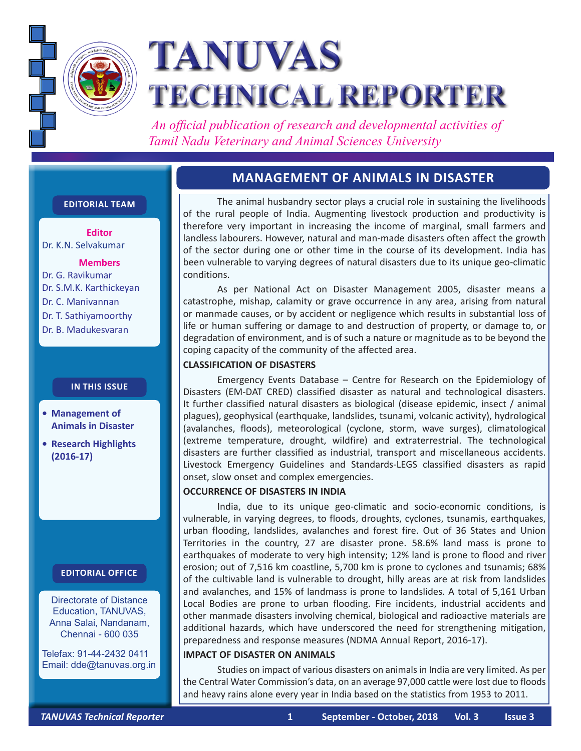

# **TANUVAS TECHNICAL REPORTER**

 *An official publication of research and developmental activities of Tamil Nadu Veterinary and Animal Sciences University*

# **MANAGEMENT OF ANIMALS IN DISASTER**

# **Editorial Team**

**Editor** Dr. K.N. Selvakumar

# **Members**

Dr. G. Ravikumar Dr. S.M.K. Karthickeyan Dr. C. Manivannan Dr. T. Sathiyamoorthy Dr. B. Madukesvaran

# **In this issue**

- **• Management of Animals in Disaster**
- **• Research Highlights (2016-17)**

# **Editorial Office**

Directorate of Distance Education, TANUVAS, Anna Salai, Nandanam, Chennai - 600 035

Telefax: 91-44-2432 0411 Email: dde@tanuvas.org.in

The animal husbandry sector plays a crucial role in sustaining the livelihoods of the rural people of India. Augmenting livestock production and productivity is therefore very important in increasing the income of marginal, small farmers and landless labourers. However, natural and man-made disasters often affect the growth of the sector during one or other time in the course of its development. India has been vulnerable to varying degrees of natural disasters due to its unique geo-climatic conditions.

As per National Act on Disaster Management 2005, disaster means a catastrophe, mishap, calamity or grave occurrence in any area, arising from natural or manmade causes, or by accident or negligence which results in substantial loss of life or human suffering or damage to and destruction of property, or damage to, or degradation of environment, and is of such a nature or magnitude as to be beyond the coping capacity of the community of the affected area.

## **CLASSIFICATION OF DISASTERS**

Emergency Events Database – Centre for Research on the Epidemiology of Disasters (EM-DAT CRED) classified disaster as natural and technological disasters. It further classified natural disasters as biological (disease epidemic, insect / animal plagues), geophysical (earthquake, landslides, tsunami, volcanic activity), hydrological (avalanches, floods), meteorological (cyclone, storm, wave surges), climatological (extreme temperature, drought, wildfire) and extraterrestrial. The technological disasters are further classified as industrial, transport and miscellaneous accidents. Livestock Emergency Guidelines and Standards-LEGS classified disasters as rapid onset, slow onset and complex emergencies.

#### **OCCURRENCE OF DISASTERS IN INDIA**

India, due to its unique geo-climatic and socio-economic conditions, is vulnerable, in varying degrees, to floods, droughts, cyclones, tsunamis, earthquakes, urban flooding, landslides, avalanches and forest fire. Out of 36 States and Union Territories in the country, 27 are disaster prone. 58.6% land mass is prone to earthquakes of moderate to very high intensity; 12% land is prone to flood and river erosion; out of 7,516 km coastline, 5,700 km is prone to cyclones and tsunamis; 68% of the cultivable land is vulnerable to drought, hilly areas are at risk from landslides and avalanches, and 15% of landmass is prone to landslides. A total of 5,161 Urban Local Bodies are prone to urban flooding. Fire incidents, industrial accidents and other manmade disasters involving chemical, biological and radioactive materials are additional hazards, which have underscored the need for strengthening mitigation, preparedness and response measures (NDMA Annual Report, 2016-17).

### **IMPACT OF DISASTER ON ANIMALS**

Studies on impact of various disasters on animals in India are very limited. As per the Central Water Commission's data, on an average 97,000 cattle were lost due to floods and heavy rains alone every year in India based on the statistics from 1953 to 2011.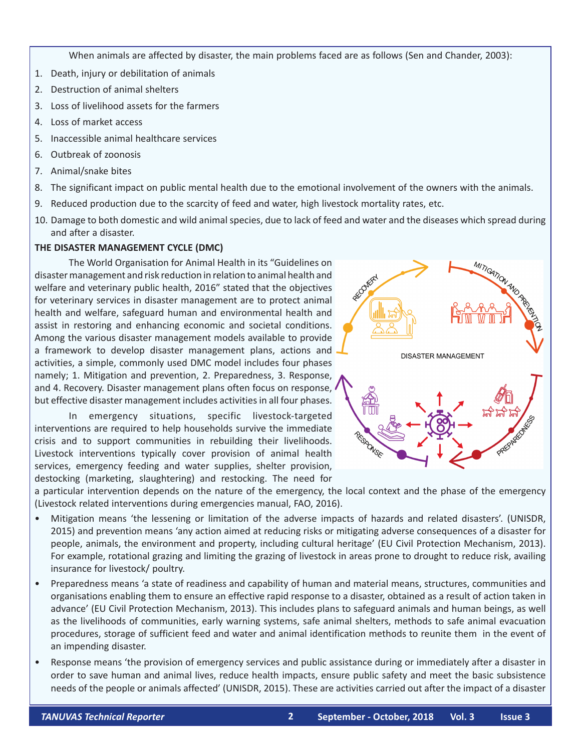When animals are affected by disaster, the main problems faced are as follows (Sen and Chander, 2003):

- 1. Death, injury or debilitation of animals
- 2. Destruction of animal shelters
- 3. Loss of livelihood assets for the farmers
- 4. Loss of market access
- 5. Inaccessible animal healthcare services
- 6. Outbreak of zoonosis
- 7. Animal/snake bites
- 8. The significant impact on public mental health due to the emotional involvement of the owners with the animals.
- 9. Reduced production due to the scarcity of feed and water, high livestock mortality rates, etc.
- 10. Damage to both domestic and wild animal species, due to lack of feed and water and the diseases which spread during and after a disaster.

## **THE DISASTER MANAGEMENT CYCLE (DMC)**

The World Organisation for Animal Health in its "Guidelines on disaster management and risk reduction in relation to animal health and welfare and veterinary public health, 2016" stated that the objectives for veterinary services in disaster management are to protect animal health and welfare, safeguard human and environmental health and assist in restoring and enhancing economic and societal conditions. Among the various disaster management models available to provide a framework to develop disaster management plans, actions and activities, a simple, commonly used DMC model includes four phases namely; 1. Mitigation and prevention, 2. Preparedness, 3. Response, and 4. Recovery. Disaster management plans often focus on response, but effective disaster management includes activities in all four phases.

In emergency situations, specific livestock-targeted interventions are required to help households survive the immediate crisis and to support communities in rebuilding their livelihoods. Livestock interventions typically cover provision of animal health services, emergency feeding and water supplies, shelter provision, destocking (marketing, slaughtering) and restocking. The need for



a particular intervention depends on the nature of the emergency, the local context and the phase of the emergency (Livestock related interventions during emergencies manual, FAO, 2016).

- • Mitigation means 'the lessening or limitation of the adverse impacts of hazards and related disasters'. (UNISDR, 2015) and prevention means 'any action aimed at reducing risks or mitigating adverse consequences of a disaster for people, animals, the environment and property, including cultural heritage' (EU Civil Protection Mechanism, 2013). For example, rotational grazing and limiting the grazing of livestock in areas prone to drought to reduce risk, availing insurance for livestock/ poultry.
- • Preparedness means 'a state of readiness and capability of human and material means, structures, communities and organisations enabling them to ensure an effective rapid response to a disaster, obtained as a result of action taken in advance' (EU Civil Protection Mechanism, 2013). This includes plans to safeguard animals and human beings, as well as the livelihoods of communities, early warning systems, safe animal shelters, methods to safe animal evacuation procedures, storage of sufficient feed and water and animal identification methods to reunite them in the event of an impending disaster.
- • Response means 'the provision of emergency services and public assistance during or immediately after a disaster in order to save human and animal lives, reduce health impacts, ensure public safety and meet the basic subsistence needs of the people or animals affected' (UNISDR, 2015). These are activities carried out after the impact of a disaster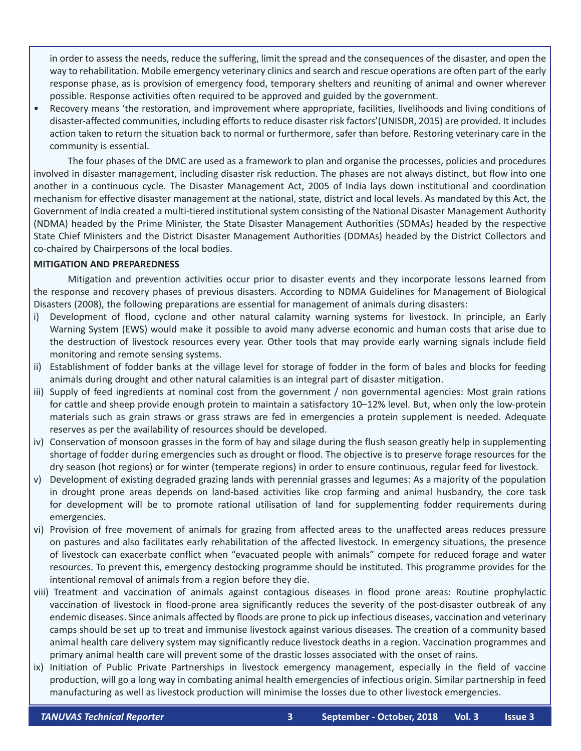in order to assess the needs, reduce the suffering, limit the spread and the consequences of the disaster, and open the way to rehabilitation. Mobile emergency veterinary clinics and search and rescue operations are often part of the early response phase, as is provision of emergency food, temporary shelters and reuniting of animal and owner wherever possible. Response activities often required to be approved and guided by the government.

Recovery means 'the restoration, and improvement where appropriate, facilities, livelihoods and living conditions of disaster-affected communities, including efforts to reduce disaster risk factors'(UNISDR, 2015) are provided. It includes action taken to return the situation back to normal or furthermore, safer than before. Restoring veterinary care in the community is essential.

The four phases of the DMC are used as a framework to plan and organise the processes, policies and procedures involved in disaster management, including disaster risk reduction. The phases are not always distinct, but flow into one another in a continuous cycle. The Disaster Management Act, 2005 of India lays down institutional and coordination mechanism for effective disaster management at the national, state, district and local levels. As mandated by this Act, the Government of India created a multi-tiered institutional system consisting of the National Disaster Management Authority (NDMA) headed by the Prime Minister, the State Disaster Management Authorities (SDMAs) headed by the respective State Chief Ministers and the District Disaster Management Authorities (DDMAs) headed by the District Collectors and co-chaired by Chairpersons of the local bodies.

#### **MITIGATION AND PREPAREDNESS**

Mitigation and prevention activities occur prior to disaster events and they incorporate lessons learned from the response and recovery phases of previous disasters. According to NDMA Guidelines for Management of Biological Disasters (2008), the following preparations are essential for management of animals during disasters:

- i) Development of flood, cyclone and other natural calamity warning systems for livestock. In principle, an Early Warning System (EWS) would make it possible to avoid many adverse economic and human costs that arise due to the destruction of livestock resources every year. Other tools that may provide early warning signals include field monitoring and remote sensing systems.
- ii) Establishment of fodder banks at the village level for storage of fodder in the form of bales and blocks for feeding animals during drought and other natural calamities is an integral part of disaster mitigation.
- iii) Supply of feed ingredients at nominal cost from the government / non governmental agencies: Most grain rations for cattle and sheep provide enough protein to maintain a satisfactory 10–12% level. But, when only the low-protein materials such as grain straws or grass straws are fed in emergencies a protein supplement is needed. Adequate reserves as per the availability of resources should be developed.
- iv) Conservation of monsoon grasses in the form of hay and silage during the flush season greatly help in supplementing shortage of fodder during emergencies such as drought or flood. The objective is to preserve forage resources for the dry season (hot regions) or for winter (temperate regions) in order to ensure continuous, regular feed for livestock.
- v) Development of existing degraded grazing lands with perennial grasses and legumes: As a majority of the population in drought prone areas depends on land-based activities like crop farming and animal husbandry, the core task for development will be to promote rational utilisation of land for supplementing fodder requirements during emergencies.
- vi) Provision of free movement of animals for grazing from affected areas to the unaffected areas reduces pressure on pastures and also facilitates early rehabilitation of the affected livestock. In emergency situations, the presence of livestock can exacerbate conflict when "evacuated people with animals" compete for reduced forage and water resources. To prevent this, emergency destocking programme should be instituted. This programme provides for the intentional removal of animals from a region before they die.
- viii) Treatment and vaccination of animals against contagious diseases in flood prone areas: Routine prophylactic vaccination of livestock in flood-prone area significantly reduces the severity of the post-disaster outbreak of any endemic diseases. Since animals affected by floods are prone to pick up infectious diseases, vaccination and veterinary camps should be set up to treat and immunise livestock against various diseases. The creation of a community based animal health care delivery system may significantly reduce livestock deaths in a region. Vaccination programmes and primary animal health care will prevent some of the drastic losses associated with the onset of rains.
- ix) Initiation of Public Private Partnerships in livestock emergency management, especially in the field of vaccine production, will go a long way in combating animal health emergencies of infectious origin. Similar partnership in feed manufacturing as well as livestock production will minimise the losses due to other livestock emergencies.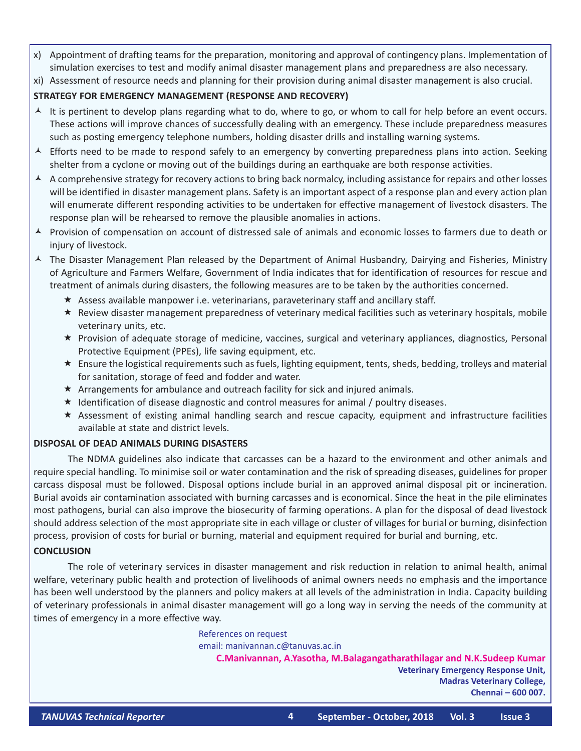- x) Appointment of drafting teams for the preparation, monitoring and approval of contingency plans. Implementation of simulation exercises to test and modify animal disaster management plans and preparedness are also necessary.
- xi) Assessment of resource needs and planning for their provision during animal disaster management is also crucial.

## **STRATEGY FOR EMERGENCY MANAGEMENT (RESPONSE AND RECOVERY)**

- $\triangle$  It is pertinent to develop plans regarding what to do, where to go, or whom to call for help before an event occurs. These actions will improve chances of successfully dealing with an emergency. These include preparedness measures such as posting emergency telephone numbers, holding disaster drills and installing warning systems.
- $\blacktriangle$  Efforts need to be made to respond safely to an emergency by converting preparedness plans into action. Seeking shelter from a cyclone or moving out of the buildings during an earthquake are both response activities.
- $\blacktriangle$  A comprehensive strategy for recovery actions to bring back normalcy, including assistance for repairs and other losses will be identified in disaster management plans. Safety is an important aspect of a response plan and every action plan will enumerate different responding activities to be undertaken for effective management of livestock disasters. The response plan will be rehearsed to remove the plausible anomalies in actions.
- A Provision of compensation on account of distressed sale of animals and economic losses to farmers due to death or injury of livestock.
- $\blacktriangle$  The Disaster Management Plan released by the Department of Animal Husbandry, Dairying and Fisheries, Ministry of Agriculture and Farmers Welfare, Government of India indicates that for identification of resources for rescue and treatment of animals during disasters, the following measures are to be taken by the authorities concerned.
	- $\star$  Assess available manpower i.e. veterinarians, paraveterinary staff and ancillary staff.
	- $\star$  Review disaster management preparedness of veterinary medical facilities such as veterinary hospitals, mobile veterinary units, etc.
	- Provision of adequate storage of medicine, vaccines, surgical and veterinary appliances, diagnostics, Personal Protective Equipment (PPEs), life saving equipment, etc.
	- Ensure the logistical requirements such as fuels, lighting equipment, tents, sheds, bedding, trolleys and material for sanitation, storage of feed and fodder and water.
	- $\star$  Arrangements for ambulance and outreach facility for sick and injured animals.
	- $\star$  Identification of disease diagnostic and control measures for animal / poultry diseases.
	- $\star$  Assessment of existing animal handling search and rescue capacity, equipment and infrastructure facilities available at state and district levels.

### **DISPOSAL OF DEAD ANIMALS DURING DISASTERS**

The NDMA guidelines also indicate that carcasses can be a hazard to the environment and other animals and require special handling. To minimise soil or water contamination and the risk of spreading diseases, guidelines for proper carcass disposal must be followed. Disposal options include burial in an approved animal disposal pit or incineration. Burial avoids air contamination associated with burning carcasses and is economical. Since the heat in the pile eliminates most pathogens, burial can also improve the biosecurity of farming operations. A plan for the disposal of dead livestock should address selection of the most appropriate site in each village or cluster of villages for burial or burning, disinfection process, provision of costs for burial or burning, material and equipment required for burial and burning, etc.

### **CONCLUSION**

The role of veterinary services in disaster management and risk reduction in relation to animal health, animal welfare, veterinary public health and protection of livelihoods of animal owners needs no emphasis and the importance has been well understood by the planners and policy makers at all levels of the administration in India. Capacity building of veterinary professionals in animal disaster management will go a long way in serving the needs of the community at times of emergency in a more effective way.

> References on request email: manivannan.c@tanuvas.ac.in

**C.Manivannan, A.Yasotha, M.Balagangatharathilagar and N.K.Sudeep Kumar Veterinary Emergency Response Unit, Madras Veterinary College, Chennai – 600 007.**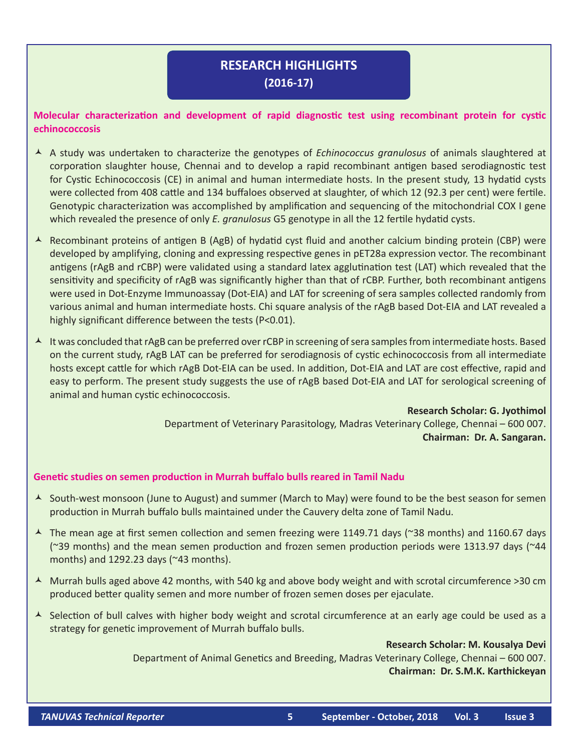# **RESEARCH HIGHLIGHTS (2016-17)**

# **Molecular characterization and development of rapid diagnostic test using recombinant protein for cystic echinococcosis**

- A study was undertaken to characterize the genotypes of *Echinococcus granulosus* of animals slaughtered at corporation slaughter house, Chennai and to develop a rapid recombinant antigen based serodiagnostic test for Cystic Echinococcosis (CE) in animal and human intermediate hosts. In the present study, 13 hydatid cysts were collected from 408 cattle and 134 buffaloes observed at slaughter, of which 12 (92.3 per cent) were fertile. Genotypic characterization was accomplished by amplification and sequencing of the mitochondrial COX I gene which revealed the presence of only *E. granulosus* G5 genotype in all the 12 fertile hydatid cysts.
- A Recombinant proteins of antigen B (AgB) of hydatid cyst fluid and another calcium binding protein (CBP) were developed by amplifying, cloning and expressing respective genes in pET28a expression vector. The recombinant antigens (rAgB and rCBP) were validated using a standard latex agglutination test (LAT) which revealed that the sensitivity and specificity of rAgB was significantly higher than that of rCBP. Further, both recombinant antigens were used in Dot-Enzyme Immunoassay (Dot-EIA) and LAT for screening of sera samples collected randomly from various animal and human intermediate hosts. Chi square analysis of the rAgB based Dot-EIA and LAT revealed a highly significant difference between the tests (P<0.01).
- A It was concluded that rAgB can be preferred over rCBP in screening of sera samples from intermediate hosts. Based on the current study, rAgB LAT can be preferred for serodiagnosis of cystic echinococcosis from all intermediate hosts except cattle for which rAgB Dot-EIA can be used. In addition, Dot-EIA and LAT are cost effective, rapid and easy to perform. The present study suggests the use of rAgB based Dot-EIA and LAT for serological screening of animal and human cystic echinococcosis.

**Research Scholar: G. Jyothimol** Department of Veterinary Parasitology, Madras Veterinary College, Chennai – 600 007. **Chairman: Dr. A. Sangaran.**

### **Genetic studies on semen production in Murrah buffalo bulls reared in Tamil Nadu**

- $\triangle$  South-west monsoon (June to August) and summer (March to May) were found to be the best season for semen production in Murrah buffalo bulls maintained under the Cauvery delta zone of Tamil Nadu.
- $\overline{\phantom{a}}$  The mean age at first semen collection and semen freezing were 1149.71 days (~38 months) and 1160.67 days (~39 months) and the mean semen production and frozen semen production periods were 1313.97 days (~44 months) and 1292.23 days (~43 months).
- $\blacktriangle$  Murrah bulls aged above 42 months, with 540 kg and above body weight and with scrotal circumference >30 cm produced better quality semen and more number of frozen semen doses per ejaculate.
- $\triangle$  Selection of bull calves with higher body weight and scrotal circumference at an early age could be used as a strategy for genetic improvement of Murrah buffalo bulls.

**Research Scholar: M. Kousalya Devi**

 Department of Animal Genetics and Breeding, Madras Veterinary College, Chennai – 600 007. **Chairman: Dr. S.M.K. Karthickeyan**